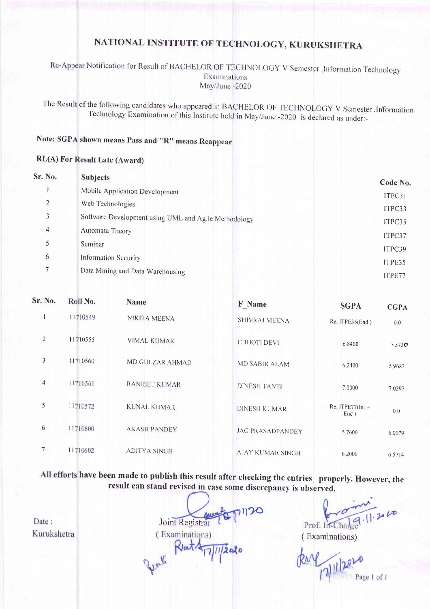## NATIONAL INSTITUTE OF TECHNOLOGY, KURUKSHETRA

#### Re-Appear Notification for Result of BACHELOR OF TECHNOLOGY V Semester , Information Technology Examinations May/June -2020

The Result of the following candidates who appeared in BACHELOR OF TECHNOLOGY V Semester , Information Technology Examination of this Institute held in May/June -2020 is declared as under:-

## Note: SGPA shown means Pass and "R" means Reappear

#### **RL(A) For Result Late (Award)**

| Sr. No. | <b>Subjects</b>                                      | Code No. |
|---------|------------------------------------------------------|----------|
|         | Mobile Application Development                       | ITPC31   |
| 2       | Web Technologies                                     | ITPC33   |
| 3       | Software Development using UML and Agile Methodology | ITPC35   |
| 4       | Automata Theory                                      | ITPC37   |
| 5       | Seminar                                              | ITPC39   |
| 6       | <b>Information Security</b>                          | ITPE35   |
| 7       | Data Mining and Data Warehousing                     | ITPE77   |

| Sr. No.         | Roll No. | <b>Name</b>          | <b>F</b> Name           | <b>SGPA</b>                       | <b>CGPA</b> |
|-----------------|----------|----------------------|-------------------------|-----------------------------------|-------------|
| $\mathbf{1}$    | 11710549 | NIKITA MEENA         | SHIVRAJ MEENA           | Re. ITPE35(End)                   | 0.0         |
| $\overline{c}$  | 11710555 | <b>VIMAL KUMAR</b>   | CHHOTI DEVI             | 6.8400                            | 7.373C      |
| 3               | 11710560 | MD GULZAR AHMAD      | <b>MD SABIR ALAM</b>    | 6.2400                            | 5.9683      |
| $\overline{4}$  | 11710561 | <b>RANJEET KUMAR</b> | <b>DINESH TANTI</b>     | 7.0000                            | 7.0397      |
| 5               | 11710572 | KUNAL KUMAR          | <b>DINESH KUMAR</b>     | $Re$ , ITPE77( $Int +$<br>$End$ ) | 0.0         |
| 6               | 11710600 | <b>AKASH PANDEY</b>  | <b>JAG PRASADPANDEY</b> | 5.7600                            | 6 0 0 7 9   |
| $7\phantom{.0}$ | 11710602 | <b>ADITYA SINGH</b>  | <b>AJAY KUMAR SINGH</b> | 6.2000                            | 6.5714      |

All efforts have been made to publish this result after checking the entries properly. However, the result can stand revised in case some discrepancy is observed.

Date: Kurukshetra

Joint Registrar Rent Rent A (Examinations)  $11/2020$ 

 $1.2010$ Prof. In-Charge

(Examinations)

Page 1 of 1